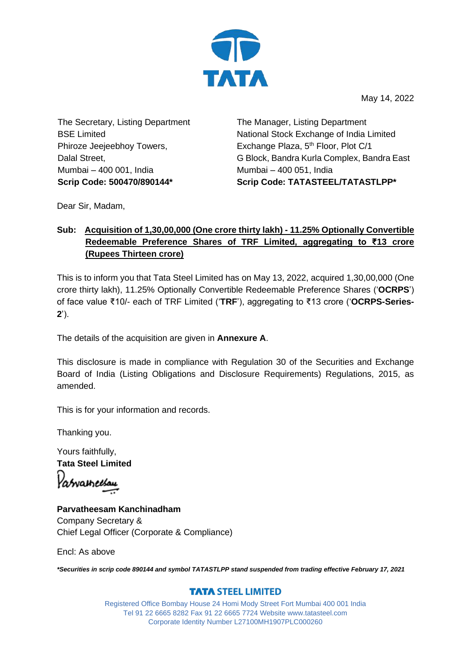

May 14, 2022

The Secretary, Listing Department BSE Limited Phiroze Jeejeebhoy Towers, Dalal Street, Mumbai – 400 001, India

The Manager, Listing Department National Stock Exchange of India Limited Exchange Plaza, 5<sup>th</sup> Floor, Plot C/1 G Block, Bandra Kurla Complex, Bandra East Mumbai – 400 051, India **Scrip Code: 500470/890144\* Scrip Code: TATASTEEL/TATASTLPP\***

Dear Sir, Madam,

## **Sub: Acquisition of 1,30,00,000 (One crore thirty lakh) - 11.25% Optionally Convertible Redeemable Preference Shares of TRF Limited, aggregating to ₹13 crore (Rupees Thirteen crore)**

This is to inform you that Tata Steel Limited has on May 13, 2022, acquired 1,30,00,000 (One crore thirty lakh), 11.25% Optionally Convertible Redeemable Preference Shares ('**OCRPS**') of face value ₹10/- each of TRF Limited ('**TRF**'), aggregating to ₹13 crore ('**OCRPS-Series-2**').

The details of the acquisition are given in **Annexure A**.

This disclosure is made in compliance with Regulation 30 of the Securities and Exchange Board of India (Listing Obligations and Disclosure Requirements) Regulations, 2015, as amended.

This is for your information and records.

Thanking you.

Yours faithfully, **Tata Steel Limited** 'abvaineisau

**Parvatheesam Kanchinadham** Company Secretary & Chief Legal Officer (Corporate & Compliance)

Encl: As above

*\*Securities in scrip code 890144 and symbol TATASTLPP stand suspended from trading effective February 17, 2021*

## **TATA STEEL LIMITED**

Registered Office Bombay House 24 Homi Mody Street Fort Mumbai 400 001 India Tel 91 22 6665 8282 Fax 91 22 6665 7724 Website www.tatasteel.com Corporate Identity Number L27100MH1907PLC000260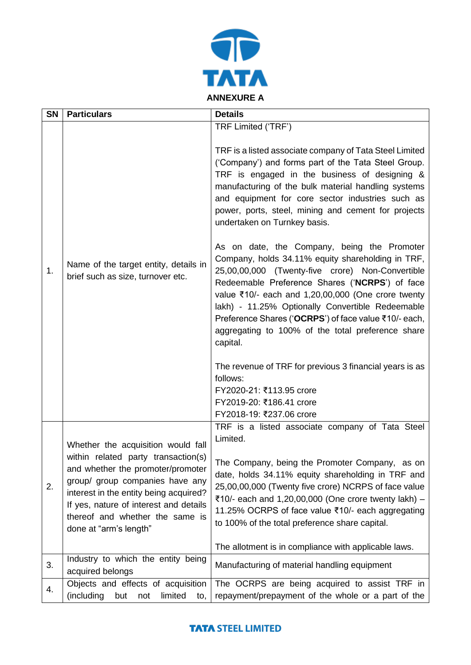

| <b>SN</b> | <b>Particulars</b>                                                                                                                                                                                                                                           | <b>Details</b>                                                                                                                                                                                                                                                                                                                                                                                                                             |
|-----------|--------------------------------------------------------------------------------------------------------------------------------------------------------------------------------------------------------------------------------------------------------------|--------------------------------------------------------------------------------------------------------------------------------------------------------------------------------------------------------------------------------------------------------------------------------------------------------------------------------------------------------------------------------------------------------------------------------------------|
| 1.        |                                                                                                                                                                                                                                                              | TRF Limited ('TRF')<br>TRF is a listed associate company of Tata Steel Limited<br>('Company') and forms part of the Tata Steel Group.<br>TRF is engaged in the business of designing &                                                                                                                                                                                                                                                     |
|           | Name of the target entity, details in<br>brief such as size, turnover etc.                                                                                                                                                                                   | manufacturing of the bulk material handling systems<br>and equipment for core sector industries such as<br>power, ports, steel, mining and cement for projects<br>undertaken on Turnkey basis.                                                                                                                                                                                                                                             |
|           |                                                                                                                                                                                                                                                              | As on date, the Company, being the Promoter<br>Company, holds 34.11% equity shareholding in TRF,<br>25,00,00,000 (Twenty-five crore) Non-Convertible<br>Redeemable Preference Shares ('NCRPS') of face<br>value ₹10/- each and 1,20,00,000 (One crore twenty<br>lakh) - 11.25% Optionally Convertible Redeemable<br>Preference Shares ('OCRPS') of face value ₹10/- each,<br>aggregating to 100% of the total preference share<br>capital. |
|           |                                                                                                                                                                                                                                                              | The revenue of TRF for previous 3 financial years is as<br>follows:<br>FY2020-21: ₹113.95 crore<br>FY2019-20: ₹186.41 crore<br>FY2018-19: ₹237.06 crore                                                                                                                                                                                                                                                                                    |
| 2.        | Whether the acquisition would fall                                                                                                                                                                                                                           | TRF is a listed associate company of Tata Steel<br>Limited.                                                                                                                                                                                                                                                                                                                                                                                |
|           | within related party transaction(s)<br>and whether the promoter/promoter<br>group/ group companies have any<br>interest in the entity being acquired?<br>If yes, nature of interest and details<br>thereof and whether the same is<br>done at "arm's length" | The Company, being the Promoter Company, as on<br>date, holds 34.11% equity shareholding in TRF and<br>25,00,00,000 (Twenty five crore) NCRPS of face value<br>₹10/- each and 1,20,00,000 (One crore twenty lakh) -<br>11.25% OCRPS of face value ₹10/- each aggregating<br>to 100% of the total preference share capital.                                                                                                                 |
|           |                                                                                                                                                                                                                                                              | The allotment is in compliance with applicable laws.                                                                                                                                                                                                                                                                                                                                                                                       |
| 3.        | Industry to which the entity being<br>acquired belongs                                                                                                                                                                                                       | Manufacturing of material handling equipment                                                                                                                                                                                                                                                                                                                                                                                               |
| 4.        | Objects and effects of acquisition<br>(including<br>but<br>limited<br>not<br>to,                                                                                                                                                                             | The OCRPS are being acquired to assist TRF in<br>repayment/prepayment of the whole or a part of the                                                                                                                                                                                                                                                                                                                                        |

## **TATA STEEL LIMITED**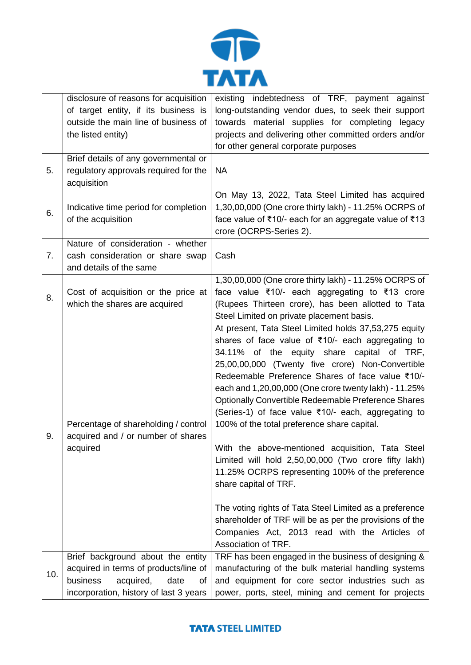

|     | disclosure of reasons for acquisition  | existing indebtedness of TRF, payment against              |
|-----|----------------------------------------|------------------------------------------------------------|
|     | of target entity, if its business is   | long-outstanding vendor dues, to seek their support        |
|     | outside the main line of business of   | towards material supplies for completing legacy            |
|     | the listed entity)                     | projects and delivering other committed orders and/or      |
|     |                                        | for other general corporate purposes                       |
| 5.  | Brief details of any governmental or   |                                                            |
|     | regulatory approvals required for the  | <b>NA</b>                                                  |
|     | acquisition                            |                                                            |
| 6.  |                                        | On May 13, 2022, Tata Steel Limited has acquired           |
|     | Indicative time period for completion  | 1,30,00,000 (One crore thirty lakh) - 11.25% OCRPS of      |
|     | of the acquisition                     | face value of ₹10/- each for an aggregate value of ₹13     |
|     |                                        | crore (OCRPS-Series 2).                                    |
|     | Nature of consideration - whether      |                                                            |
| 7.  | cash consideration or share swap       | Cash                                                       |
|     | and details of the same                |                                                            |
|     |                                        | 1,30,00,000 (One crore thirty lakh) - 11.25% OCRPS of      |
| 8.  | Cost of acquisition or the price at    | face value ₹10/- each aggregating to ₹13 crore             |
|     | which the shares are acquired          | (Rupees Thirteen crore), has been allotted to Tata         |
|     |                                        | Steel Limited on private placement basis.                  |
|     |                                        | At present, Tata Steel Limited holds 37,53,275 equity      |
|     |                                        | shares of face value of ₹10/- each aggregating to          |
|     |                                        | 34.11% of the equity share capital of TRF,                 |
|     |                                        | 25,00,00,000 (Twenty five crore) Non-Convertible           |
|     |                                        | Redeemable Preference Shares of face value ₹10/-           |
|     |                                        | each and 1,20,00,000 (One crore twenty lakh) - 11.25%      |
|     |                                        | <b>Optionally Convertible Redeemable Preference Shares</b> |
|     |                                        | (Series-1) of face value ₹10/- each, aggregating to        |
|     | Percentage of shareholding / control   | 100% of the total preference share capital.                |
| 9.  | acquired and / or number of shares     |                                                            |
|     | acquired                               | With the above-mentioned acquisition, Tata Steel           |
|     |                                        | Limited will hold 2,50,00,000 (Two crore fifty lakh)       |
|     |                                        | 11.25% OCRPS representing 100% of the preference           |
|     |                                        | share capital of TRF.                                      |
|     |                                        |                                                            |
|     |                                        | The voting rights of Tata Steel Limited as a preference    |
|     |                                        | shareholder of TRF will be as per the provisions of the    |
|     |                                        | Companies Act, 2013 read with the Articles of              |
|     |                                        | Association of TRF.                                        |
| 10. | Brief background about the entity      | TRF has been engaged in the business of designing &        |
|     | acquired in terms of products/line of  | manufacturing of the bulk material handling systems        |
|     | business<br>acquired,<br>date<br>οf    | and equipment for core sector industries such as           |
|     | incorporation, history of last 3 years | power, ports, steel, mining and cement for projects        |

## **TATA STEEL LIMITED**